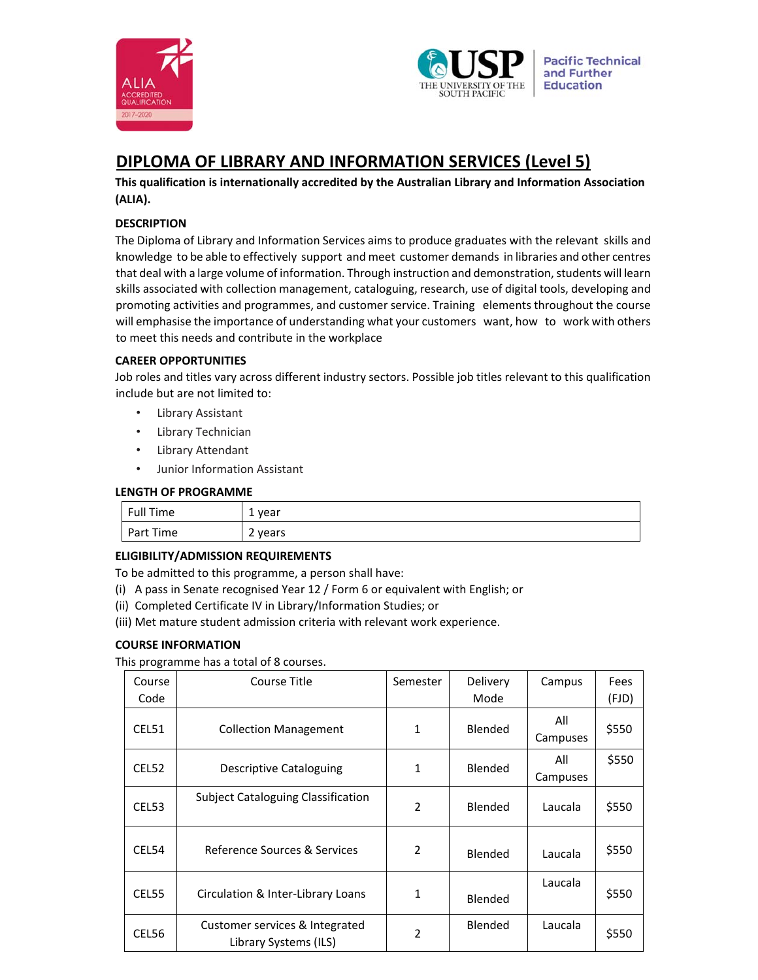



# **DIPLOMA OF LIBRARY AND INFORMATION SERVICES (Level 5)**

**This qualification is internationally accredited by the Australian Library and Information Association (ALIA).** 

# **DESCRIPTION**

The Diploma of Library and Information Services aims to produce graduates with the relevant skills and knowledge to be able to effectively support and meet customer demands in libraries and other centres that deal with a large volume of information. Through instruction and demonstration, students will learn skills associated with collection management, cataloguing, research, use of digital tools, developing and promoting activities and programmes, and customer service. Training elements throughout the course will emphasise the importance of understanding what your customers want, how to work with others to meet this needs and contribute in the workplace

# **CAREER OPPORTUNITIES**

Job roles and titles vary across different industry sectors. Possible job titles relevant to this qualification include but are not limited to:

- Library Assistant
- Library Technician
- Library Attendant
- Junior Information Assistant

## **LENGTH OF PROGRAMME**

| Full Time | . vear<br><b>.</b> |
|-----------|--------------------|
| Part Time | 2 years<br>∠       |

## **ELIGIBILITY/ADMISSION REQUIREMENTS**

To be admitted to this programme, a person shall have:

- (i) A pass in Senate recognised Year 12 / Form 6 or equivalent with English; or
- (ii) Completed Certificate IV in Library/Information Studies; or
- (iii) Met mature student admission criteria with relevant work experience.

## **COURSE INFORMATION**

This programme has a total of 8 courses.

| Course<br>Code | Course Title                                            | Semester       | Delivery<br>Mode | Campus          | Fees<br>(FJD) |
|----------------|---------------------------------------------------------|----------------|------------------|-----------------|---------------|
| CEL51          | <b>Collection Management</b>                            | 1              | Blended          | All<br>Campuses | \$550         |
| CEL52          | Descriptive Cataloguing                                 | $\mathbf{1}$   | Blended          | All<br>Campuses | \$550         |
| CEL53          | <b>Subject Cataloguing Classification</b>               | $\overline{2}$ | Blended          | Laucala         | \$550         |
| CEL54          | Reference Sources & Services                            | $\overline{2}$ | Blended          | Laucala         | \$550         |
| CEL55          | Circulation & Inter-Library Loans                       | 1              | Blended          | Laucala         | \$550         |
| CEL56          | Customer services & Integrated<br>Library Systems (ILS) | 2              | Blended          | Laucala         | \$550         |